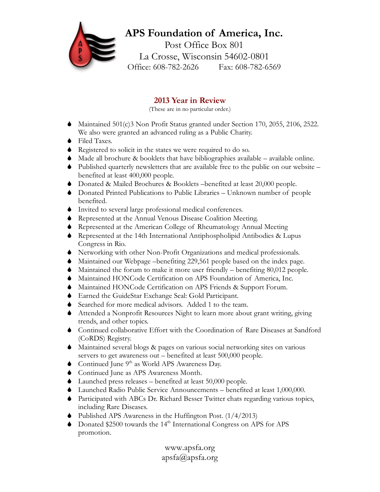## **APS Foundation of America, Inc.** Post Office Box 801 La Crosse, Wisconsin 54602-0801 Office: 608-782-2626 Fax: 608-782-6569

## **2013 Year in Review**

(These are in no particular order.)

- $\blacklozenge$  Maintained 501(c)3 Non Profit Status granted under Section 170, 2055, 2106, 2522. We also were granted an advanced ruling as a Public Charity.
- $\bullet$  Filed Taxes.
- $\bullet$  Registered to solicit in the states we were required to do so.
- $\blacklozenge$  Made all brochure & booklets that have bibliographies available available online.
- $\bullet$  Published quarterly newsletters that are available free to the public on our website benefited at least 400,000 people.
- S Donated & Mailed Brochures & Booklets –benefited at least 20,000 people.
- S Donated Printed Publications to Public Libraries Unknown number of people benefited.
- $\bullet$  Invited to several large professional medical conferences.
- $\blacklozenge$  Represented at the Annual Venous Disease Coalition Meeting.
- $\bullet$  Represented at the American College of Rheumatology Annual Meeting
- $\bullet$  Represented at the 14th International Antiphospholipid Antibodies & Lupus Congress in Rio.
- S Networking with other Non-Profit Organizations and medical professionals.
- $\blacklozenge$  Maintained our Webpage –benefiting 229,561 people based on the index page.
- $\blacklozenge$  Maintained the forum to make it more user friendly benefiting 80,012 people.
- S Maintained HONCode Certification on APS Foundation of America, Inc.
- $\blacklozenge$  Maintained HONCode Certification on APS Friends & Support Forum.
- S Earned the GuideStar Exchange Seal: Gold Participant.
- Searched for more medical advisors. Added 1 to the team.
- $\blacklozenge$  Attended a Nonprofit Resources Night to learn more about grant writing, giving trends, and other topics.
- S Continued collaborative Effort with the Coordination of Rare Diseases at Sandford (CoRDS) Registry.
- S Maintained several blogs & pages on various social networking sites on various servers to get awareness out – benefited at least 500,000 people.
- $\bullet$  Continued June 9<sup>th</sup> as World APS Awareness Day.
- ◆ Continued June as APS Awareness Month.
- $\blacklozenge$  Launched press releases benefited at least 50,000 people.
- S Launched Radio Public Service Announcements benefited at least 1,000,000.
- S Participated with ABCs Dr. Richard Besser Twitter chats regarding various topics, including Rare Diseases.
- $\bullet$  Published APS Awareness in the Huffington Post. (1/4/2013)
- $\bullet$  Donated \$2500 towards the 14<sup>th</sup> International Congress on APS for APS promotion.

www.apsfa.org apsfa@apsfa.org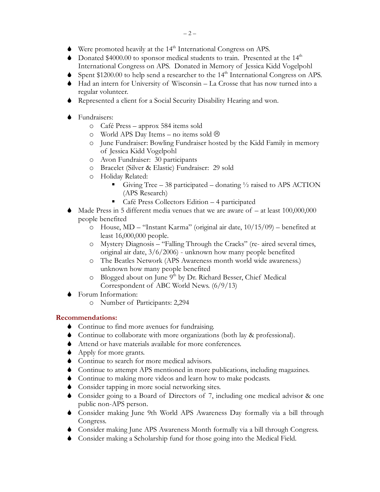- $\blacklozenge$  Were promoted heavily at the 14<sup>th</sup> International Congress on APS.
- $\bullet$  Donated \$4000.00 to sponsor medical students to train. Presented at the 14<sup>th</sup> International Congress on APS. Donated in Memory of Jessica Kidd Vogelpohl
- Spent  $$1200.00$  to help send a researcher to the  $14<sup>th</sup>$  International Congress on APS.
- $\blacklozenge$  Had an intern for University of Wisconsin La Crosse that has now turned into a regular volunteer.
- S Represented a client for a Social Security Disability Hearing and won.
- $\bullet$  Fundraisers:
	- o Café Press approx 584 items sold
	- o World APS Day Items no items sold  $\odot$
	- o June Fundraiser: Bowling Fundraiser hosted by the Kidd Family in memory of Jessica Kidd Vogelpohl
	- o Avon Fundraiser: 30 participants
	- o Bracelet (Silver & Elastic) Fundraiser: 29 sold
	- o Holiday Related:
		- Giving Tree 38 participated donating  $\frac{1}{2}$  raised to APS ACTION (APS Research)
		- Café Press Collectors Edition 4 participated
- $\blacklozenge$  Made Press in 5 different media venues that we are aware of at least 100,000,000 people benefited
	- o House, MD "Instant Karma" (original air date, 10/15/09) benefited at least 16,000,000 people.
	- o Mystery Diagnosis "Falling Through the Cracks" (re- aired several times, original air date, 3/6/2006) - unknown how many people benefited
	- o The Beatles Network (APS Awareness month world wide awareness.) unknown how many people benefited
	- o Blogged about on June 9<sup>th</sup> by Dr. Richard Besser, Chief Medical Correspondent of ABC World News. (6/9/13)
- S Forum Information:
	- o Number of Participants: 2,294

## **Recommendations:**

- $\bullet$  Continue to find more avenues for fundraising.
- S Continue to collaborate with more organizations (both lay & professional).
- $\blacklozenge$  Attend or have materials available for more conferences.
- $\blacklozenge$  Apply for more grants.
- $\bullet$  Continue to search for more medical advisors.
- $\bullet$  Continue to attempt APS mentioned in more publications, including magazines.
- $\bullet$  Continue to making more videos and learn how to make podcasts.
- $\bullet$  Consider tapping in more social networking sites.
- $\bullet$  Consider going to a Board of Directors of 7, including one medical advisor & one public non-APS person.
- S Consider making June 9th World APS Awareness Day formally via a bill through Congress.
- S Consider making June APS Awareness Month formally via a bill through Congress.
- S Consider making a Scholarship fund for those going into the Medical Field.